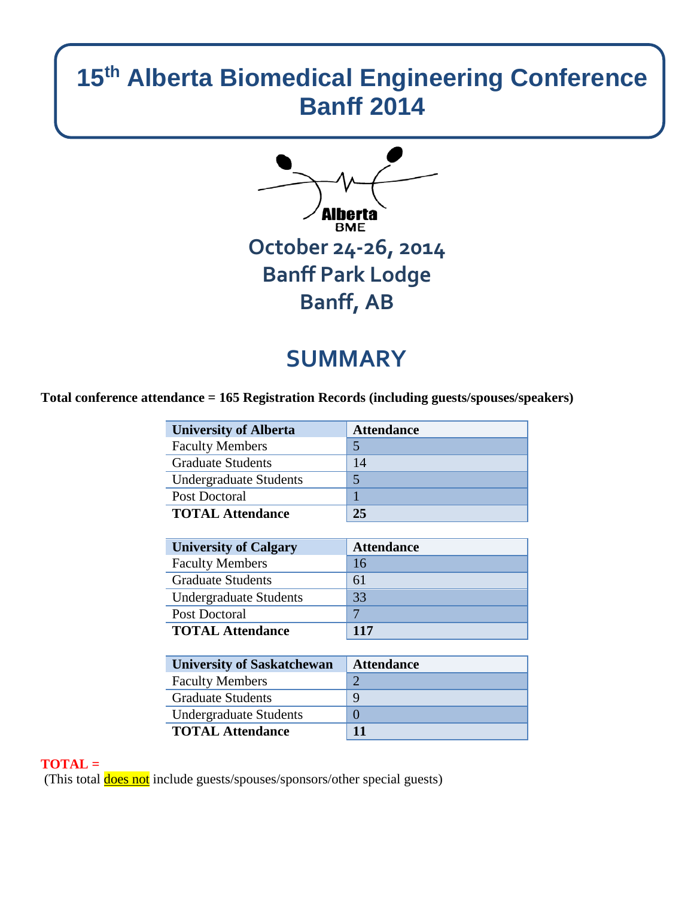# **15th Alberta Biomedical Engineering Conference Banff 2014**



# **SUMMARY**

**Total conference attendance = 165 Registration Records (including guests/spouses/speakers)**

| <b>University of Alberta</b>  | <b>Attendance</b> |
|-------------------------------|-------------------|
| <b>Faculty Members</b>        |                   |
| <b>Graduate Students</b>      | 14                |
| <b>Undergraduate Students</b> |                   |
| Post Doctoral                 |                   |
| <b>TOTAL Attendance</b>       | 25                |

| <b>University of Calgary</b>  | <b>Attendance</b> |
|-------------------------------|-------------------|
| <b>Faculty Members</b>        | 16                |
| <b>Graduate Students</b>      | 61                |
| <b>Undergraduate Students</b> | 33                |
| Post Doctoral                 |                   |
| <b>TOTAL Attendance</b>       | 117               |

| <b>University of Saskatchewan</b> | <b>Attendance</b> |
|-----------------------------------|-------------------|
| <b>Faculty Members</b>            |                   |
| <b>Graduate Students</b>          | 9                 |
| <b>Undergraduate Students</b>     |                   |
| <b>TOTAL Attendance</b>           | 11                |

## **TOTAL =**

(This total **does not** include guests/spouses/sponsors/other special guests)